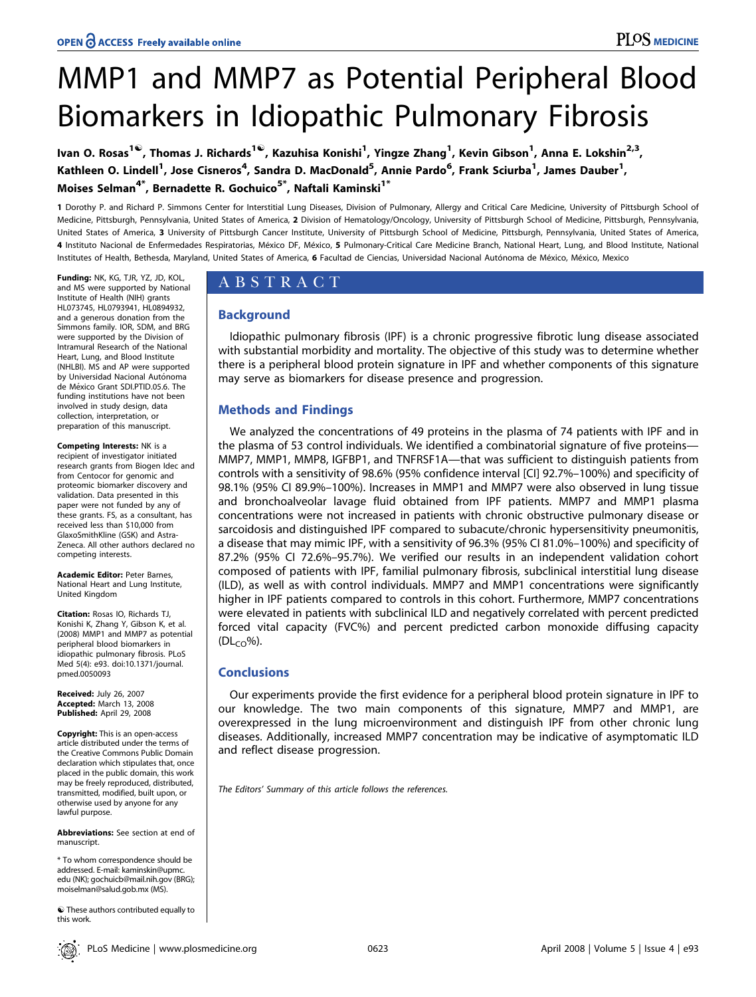# MMP1 and MMP7 as Potential Peripheral Blood Biomarkers in Idiopathic Pulmonary Fibrosis

lvan O. Rosas<sup>1©</sup>, Thomas J. Richards<sup>1©</sup>, Kazuhisa Konishi<sup>1</sup>, Yingze Zhang<sup>1</sup>, Kevin Gibson<sup>1</sup>, Anna E. Lokshin<sup>2,3</sup>, Kathleen O. Lindell<sup>1</sup>, Jose Cisneros<sup>4</sup>, Sandra D. MacDonald<sup>5</sup>, Annie Pardo<sup>6</sup>, Frank Sciurba<sup>1</sup>, James Dauber<sup>1</sup>, Moises Selman<sup>4\*</sup>, Bernadette R. Gochuico<sup>5\*</sup>, Naftali Kaminski<sup>1\*</sup>

1 Dorothy P. and Richard P. Simmons Center for Interstitial Lung Diseases, Division of Pulmonary, Allergy and Critical Care Medicine, University of Pittsburgh School of Medicine, Pittsburgh, Pennsylvania, United States of America, 2 Division of Hematology/Oncology, University of Pittsburgh School of Medicine, Pittsburgh, Pennsylvania, United States of America, 3 University of Pittsburgh Cancer Institute, University of Pittsburgh School of Medicine, Pittsburgh, Pennsylvania, United States of America, 4 Instituto Nacional de Enfermedades Respiratorias, México DF, México, 5 Pulmonary-Critical Care Medicine Branch, National Heart, Lung, and Blood Institute, National Institutes of Health, Bethesda, Maryland, United States of America, 6 Facultad de Ciencias, Universidad Nacional Autónoma de México, México, Mexico

Funding: NK, KG, TJR, YZ, JD, KOL, and MS were supported by National Institute of Health (NIH) grants HL073745, HL0793941, HL0894932, and a generous donation from the Simmons family. IOR, SDM, and BRG were supported by the Division of Intramural Research of the National Heart, Lung, and Blood Institute (NHLBI). MS and AP were supported by Universidad Nacional Autónoma de México Grant SDI.PTID.05.6. The funding institutions have not been involved in study design, data collection, interpretation, or preparation of this manuscript.

#### Competing Interests: NK is a recipient of investigator initiated research grants from Biogen Idec and from Centocor for genomic and proteomic biomarker discovery and validation. Data presented in this paper were not funded by any of these grants. FS, as a consultant, has received less than \$10,000 from GlaxoSmithKline (GSK) and Astra-Zeneca. All other authors declared no competing interests.

Academic Editor: Peter Barnes, National Heart and Lung Institute, United Kingdom

Citation: Rosas IO, Richards TJ, Konishi K, Zhang Y, Gibson K, et al. (2008) MMP1 and MMP7 as potential peripheral blood biomarkers in idiopathic pulmonary fibrosis. PLoS Med 5(4): e93. doi:10.1371/journal. pmed.0050093

Received: July 26, 2007 Accepted: March 13, 2008 Published: April 29, 2008

Copyright: This is an open-access article distributed under the terms of the Creative Commons Public Domain declaration which stipulates that, once placed in the public domain, this work may be freely reproduced, distributed, transmitted, modified, built upon, or otherwise used by anyone for any lawful purpose.

Abbreviations: See section at end of manuscript.

\* To whom correspondence should be addressed. E-mail: kaminskin@upmc. edu (NK); gochuicb@mail.nih.gov (BRG); moiselman@salud.gob.mx (MS).

 $\odot$  These authors contributed equally to this work.

# ABSTRACT

# **Background**

Idiopathic pulmonary fibrosis (IPF) is a chronic progressive fibrotic lung disease associated with substantial morbidity and mortality. The objective of this study was to determine whether there is a peripheral blood protein signature in IPF and whether components of this signature may serve as biomarkers for disease presence and progression.

# Methods and Findings

We analyzed the concentrations of 49 proteins in the plasma of 74 patients with IPF and in the plasma of 53 control individuals. We identified a combinatorial signature of five proteins— MMP7, MMP1, MMP8, IGFBP1, and TNFRSF1A—that was sufficient to distinguish patients from controls with a sensitivity of 98.6% (95% confidence interval [CI] 92.7%–100%) and specificity of 98.1% (95% CI 89.9%–100%). Increases in MMP1 and MMP7 were also observed in lung tissue and bronchoalveolar lavage fluid obtained from IPF patients. MMP7 and MMP1 plasma concentrations were not increased in patients with chronic obstructive pulmonary disease or sarcoidosis and distinguished IPF compared to subacute/chronic hypersensitivity pneumonitis, a disease that may mimic IPF, with a sensitivity of 96.3% (95% CI 81.0%–100%) and specificity of 87.2% (95% CI 72.6%–95.7%). We verified our results in an independent validation cohort composed of patients with IPF, familial pulmonary fibrosis, subclinical interstitial lung disease (ILD), as well as with control individuals. MMP7 and MMP1 concentrations were significantly higher in IPF patients compared to controls in this cohort. Furthermore, MMP7 concentrations were elevated in patients with subclinical ILD and negatively correlated with percent predicted forced vital capacity (FVC%) and percent predicted carbon monoxide diffusing capacity  $(DL_{CO}\%)$ .

# **Conclusions**

Our experiments provide the first evidence for a peripheral blood protein signature in IPF to our knowledge. The two main components of this signature, MMP7 and MMP1, are overexpressed in the lung microenvironment and distinguish IPF from other chronic lung diseases. Additionally, increased MMP7 concentration may be indicative of asymptomatic ILD and reflect disease progression.

The Editors' Summary of this article follows the references.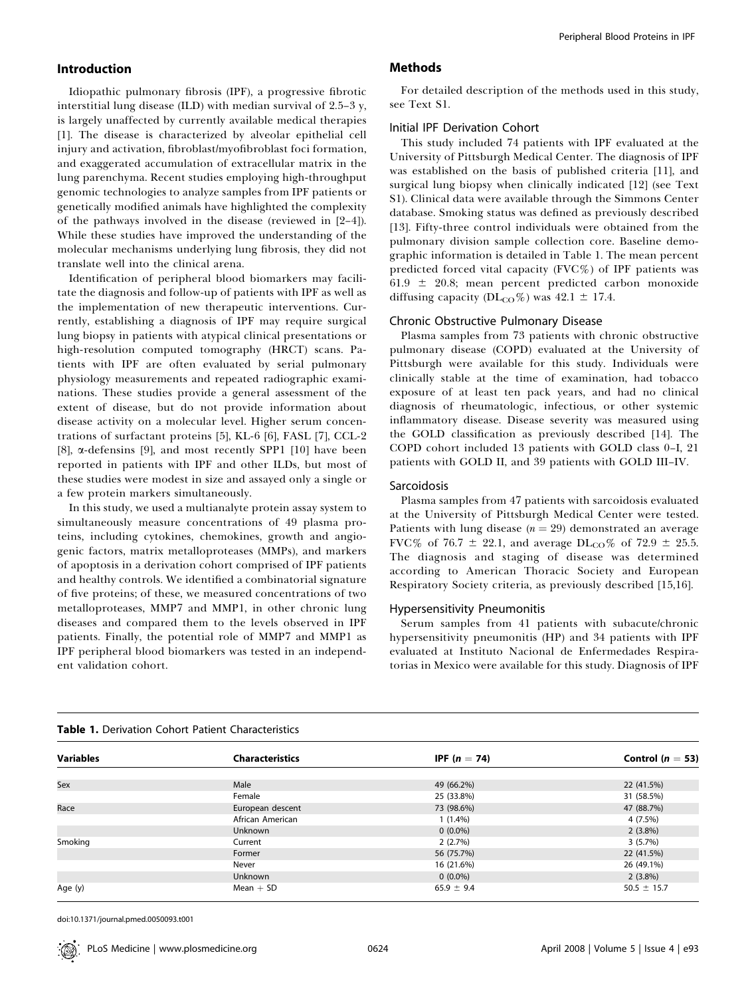# Introduction

Idiopathic pulmonary fibrosis (IPF), a progressive fibrotic interstitial lung disease (ILD) with median survival of 2.5–3 y, is largely unaffected by currently available medical therapies [1]. The disease is characterized by alveolar epithelial cell injury and activation, fibroblast/myofibroblast foci formation, and exaggerated accumulation of extracellular matrix in the lung parenchyma. Recent studies employing high-throughput genomic technologies to analyze samples from IPF patients or genetically modified animals have highlighted the complexity of the pathways involved in the disease (reviewed in [2–4]). While these studies have improved the understanding of the molecular mechanisms underlying lung fibrosis, they did not translate well into the clinical arena.

Identification of peripheral blood biomarkers may facilitate the diagnosis and follow-up of patients with IPF as well as the implementation of new therapeutic interventions. Currently, establishing a diagnosis of IPF may require surgical lung biopsy in patients with atypical clinical presentations or high-resolution computed tomography (HRCT) scans. Patients with IPF are often evaluated by serial pulmonary physiology measurements and repeated radiographic examinations. These studies provide a general assessment of the extent of disease, but do not provide information about disease activity on a molecular level. Higher serum concentrations of surfactant proteins [5], KL-6 [6], FASL [7], CCL-2 [8], a-defensins [9], and most recently SPP1 [10] have been reported in patients with IPF and other ILDs, but most of these studies were modest in size and assayed only a single or a few protein markers simultaneously.

In this study, we used a multianalyte protein assay system to simultaneously measure concentrations of 49 plasma proteins, including cytokines, chemokines, growth and angiogenic factors, matrix metalloproteases (MMPs), and markers of apoptosis in a derivation cohort comprised of IPF patients and healthy controls. We identified a combinatorial signature of five proteins; of these, we measured concentrations of two metalloproteases, MMP7 and MMP1, in other chronic lung diseases and compared them to the levels observed in IPF patients. Finally, the potential role of MMP7 and MMP1 as IPF peripheral blood biomarkers was tested in an independent validation cohort.

### Methods

For detailed description of the methods used in this study, see Text S1.

# Initial IPF Derivation Cohort

This study included 74 patients with IPF evaluated at the University of Pittsburgh Medical Center. The diagnosis of IPF was established on the basis of published criteria [11], and surgical lung biopsy when clinically indicated [12] (see Text S1). Clinical data were available through the Simmons Center database. Smoking status was defined as previously described [13]. Fifty-three control individuals were obtained from the pulmonary division sample collection core. Baseline demographic information is detailed in Table 1. The mean percent predicted forced vital capacity (FVC%) of IPF patients was 61.9  $\pm$  20.8; mean percent predicted carbon monoxide diffusing capacity ( $DL_{CO}\%$ ) was 42.1  $\pm$  17.4.

#### Chronic Obstructive Pulmonary Disease

Plasma samples from 73 patients with chronic obstructive pulmonary disease (COPD) evaluated at the University of Pittsburgh were available for this study. Individuals were clinically stable at the time of examination, had tobacco exposure of at least ten pack years, and had no clinical diagnosis of rheumatologic, infectious, or other systemic inflammatory disease. Disease severity was measured using the GOLD classification as previously described [14]. The COPD cohort included 13 patients with GOLD class 0–I, 21 patients with GOLD II, and 39 patients with GOLD III–IV.

## Sarcoidosis

Plasma samples from 47 patients with sarcoidosis evaluated at the University of Pittsburgh Medical Center were tested. Patients with lung disease  $(n = 29)$  demonstrated an average FVC% of 76.7  $\pm$  22.1, and average DL<sub>CO</sub>% of 72.9  $\pm$  25.5. The diagnosis and staging of disease was determined according to American Thoracic Society and European Respiratory Society criteria, as previously described [15,16].

#### Hypersensitivity Pneumonitis

Serum samples from 41 patients with subacute/chronic hypersensitivity pneumonitis (HP) and 34 patients with IPF evaluated at Instituto Nacional de Enfermedades Respiratorias in Mexico were available for this study. Diagnosis of IPF

| Table 1. Derivation Cohort Patient Characteristics |                        |                       |                      |  |  |
|----------------------------------------------------|------------------------|-----------------------|----------------------|--|--|
| <b>Variables</b>                                   | <b>Characteristics</b> | <b>IPF</b> $(n = 74)$ | Control ( $n = 53$ ) |  |  |
| Sex                                                | Male                   | 49 (66.2%)            | 22 (41.5%)           |  |  |
|                                                    | Female                 | 25 (33.8%)            | 31 (58.5%)           |  |  |
| Race                                               | European descent       | 73 (98.6%)            | 47 (88.7%)           |  |  |
|                                                    | African American       | $1(1.4\%)$            | 4 (7.5%)             |  |  |
|                                                    | <b>Unknown</b>         | $0(0.0\%)$            | $2(3.8\%)$           |  |  |
| Smoking                                            | Current                | 2(2.7%)               | 3(5.7%)              |  |  |
|                                                    | Former                 | 56 (75.7%)            | 22 (41.5%)           |  |  |
|                                                    | Never                  | 16 (21.6%)            | 26 (49.1%)           |  |  |
|                                                    | <b>Unknown</b>         | $0(0.0\%)$            | $2(3.8\%)$           |  |  |
| Age (y)                                            | $Mean + SD$            | $65.9 \pm 9.4$        | $50.5 \pm 15.7$      |  |  |

doi:10.1371/journal.pmed.0050093.t001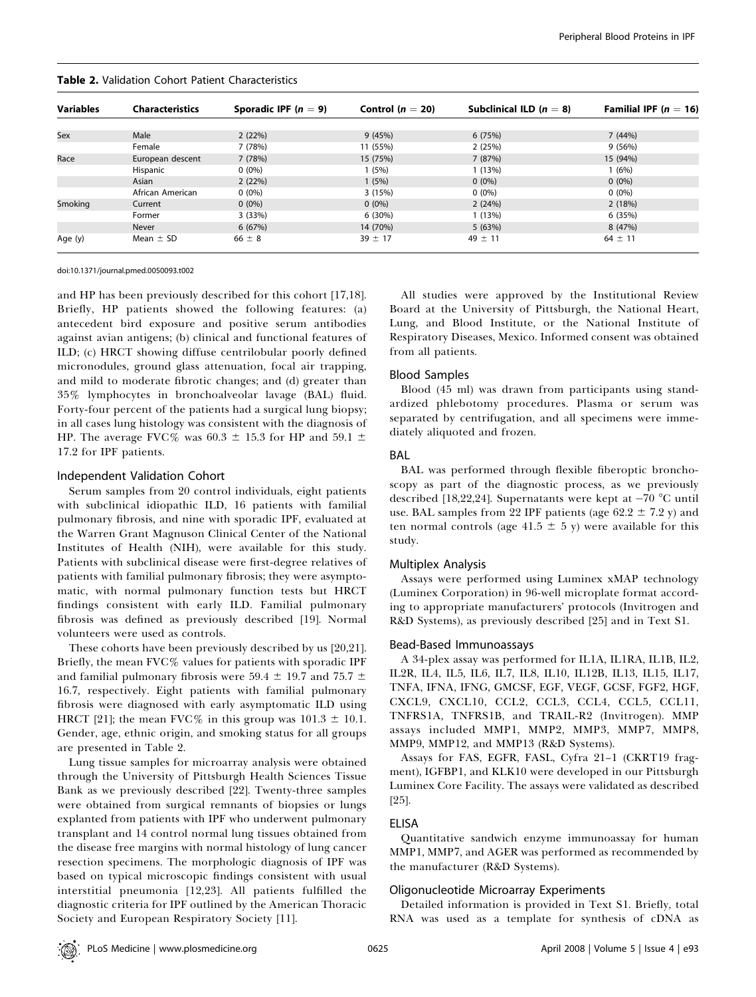| <b>Table 2.</b> Validation Cohort Patient Characteristics |  |
|-----------------------------------------------------------|--|
|-----------------------------------------------------------|--|

| <b>Variables</b> | <b>Characteristics</b> | Sporadic IPF $(n = 9)$ | Control ( $n = 20$ ) | Subclinical ILD $(n = 8)$ | Familial IPF ( $n = 16$ ) |
|------------------|------------------------|------------------------|----------------------|---------------------------|---------------------------|
|                  |                        |                        |                      |                           |                           |
| Sex              | Male                   | 2(22%)                 | 9(45%)               | 6(75%)                    | 7(44%)                    |
|                  | Female                 | 7 (78%)                | 11 (55%)             | 2(25%)                    | 9(56%)                    |
| Race             | European descent       | 7(78%)                 | 15 (75%)             | 7(87%)                    | 15 (94%)                  |
|                  | Hispanic               | $0(0\%)$               | (5%)                 | 1(13%)                    | 1 (6%)                    |
|                  | Asian                  | 2(22%)                 | 1(5%)                | $0(0\%)$                  | $0(0\%)$                  |
|                  | African American       | $0(0\%)$               | 3(15%)               | $0(0\%)$                  | $0(0\%)$                  |
| Smoking          | Current                | $0(0\%)$               | $0(0\%)$             | 2(24%)                    | 2(18%)                    |
|                  | Former                 | 3(33%)                 | 6(30%)               | 1(13%)                    | 6(35%)                    |
|                  | Never                  | 6(67%)                 | 14 (70%)             | 5(63%)                    | 8 (47%)                   |
| Age (y)          | Mean $\pm$ SD          | $66 \pm 8$             | $39 \pm 17$          | $49 \pm 11$               | $64 \pm 11$               |

doi:10.1371/journal.pmed.0050093.t002

and HP has been previously described for this cohort [17,18]. Briefly, HP patients showed the following features: (a) antecedent bird exposure and positive serum antibodies against avian antigens; (b) clinical and functional features of ILD; (c) HRCT showing diffuse centrilobular poorly defined micronodules, ground glass attenuation, focal air trapping, and mild to moderate fibrotic changes; and (d) greater than 35% lymphocytes in bronchoalveolar lavage (BAL) fluid. Forty-four percent of the patients had a surgical lung biopsy; in all cases lung histology was consistent with the diagnosis of HP. The average FVC% was  $60.3 \pm 15.3$  for HP and  $59.1 \pm 10.5$ 17.2 for IPF patients.

#### Independent Validation Cohort

Serum samples from 20 control individuals, eight patients with subclinical idiopathic ILD, 16 patients with familial pulmonary fibrosis, and nine with sporadic IPF, evaluated at the Warren Grant Magnuson Clinical Center of the National Institutes of Health (NIH), were available for this study. Patients with subclinical disease were first-degree relatives of patients with familial pulmonary fibrosis; they were asymptomatic, with normal pulmonary function tests but HRCT findings consistent with early ILD. Familial pulmonary fibrosis was defined as previously described [19]. Normal volunteers were used as controls.

These cohorts have been previously described by us [20,21]. Briefly, the mean FVC% values for patients with sporadic IPF and familial pulmonary fibrosis were 59.4  $\pm$  19.7 and 75.7  $\pm$ 16.7, respectively. Eight patients with familial pulmonary fibrosis were diagnosed with early asymptomatic ILD using HRCT [21]; the mean FVC% in this group was  $101.3 \pm 10.1$ . Gender, age, ethnic origin, and smoking status for all groups are presented in Table 2.

Lung tissue samples for microarray analysis were obtained through the University of Pittsburgh Health Sciences Tissue Bank as we previously described [22]. Twenty-three samples were obtained from surgical remnants of biopsies or lungs explanted from patients with IPF who underwent pulmonary transplant and 14 control normal lung tissues obtained from the disease free margins with normal histology of lung cancer resection specimens. The morphologic diagnosis of IPF was based on typical microscopic findings consistent with usual interstitial pneumonia [12,23]. All patients fulfilled the diagnostic criteria for IPF outlined by the American Thoracic Society and European Respiratory Society [11].

All studies were approved by the Institutional Review Board at the University of Pittsburgh, the National Heart, Lung, and Blood Institute, or the National Institute of Respiratory Diseases, Mexico. Informed consent was obtained from all patients.

#### Blood Samples

Blood (45 ml) was drawn from participants using standardized phlebotomy procedures. Plasma or serum was separated by centrifugation, and all specimens were immediately aliquoted and frozen.

#### BAL

BAL was performed through flexible fiberoptic bronchoscopy as part of the diagnostic process, as we previously described [18,22,24]. Supernatants were kept at –70 °C until use. BAL samples from 22 IPF patients (age 62.2  $\pm$  7.2 y) and ten normal controls (age  $41.5 \pm 5$  y) were available for this study.

#### Multiplex Analysis

Assays were performed using Luminex xMAP technology (Luminex Corporation) in 96-well microplate format according to appropriate manufacturers' protocols (Invitrogen and R&D Systems), as previously described [25] and in Text S1.

# Bead-Based Immunoassays

A 34-plex assay was performed for IL1A, IL1RA, IL1B, IL2, IL2R, IL4, IL5, IL6, IL7, IL8, IL10, IL12B, IL13, IL15, IL17, TNFA, IFNA, IFNG, GMCSF, EGF, VEGF, GCSF, FGF2, HGF, CXCL9, CXCL10, CCL2, CCL3, CCL4, CCL5, CCL11, TNFRS1A, TNFRS1B, and TRAIL-R2 (Invitrogen). MMP assays included MMP1, MMP2, MMP3, MMP7, MMP8, MMP9, MMP12, and MMP13 (R&D Systems).

Assays for FAS, EGFR, FASL, Cyfra 21–1 (CKRT19 fragment), IGFBP1, and KLK10 were developed in our Pittsburgh Luminex Core Facility. The assays were validated as described [25].

#### ELISA

Quantitative sandwich enzyme immunoassay for human MMP1, MMP7, and AGER was performed as recommended by the manufacturer (R&D Systems).

#### Oligonucleotide Microarray Experiments

Detailed information is provided in Text S1. Briefly, total RNA was used as a template for synthesis of cDNA as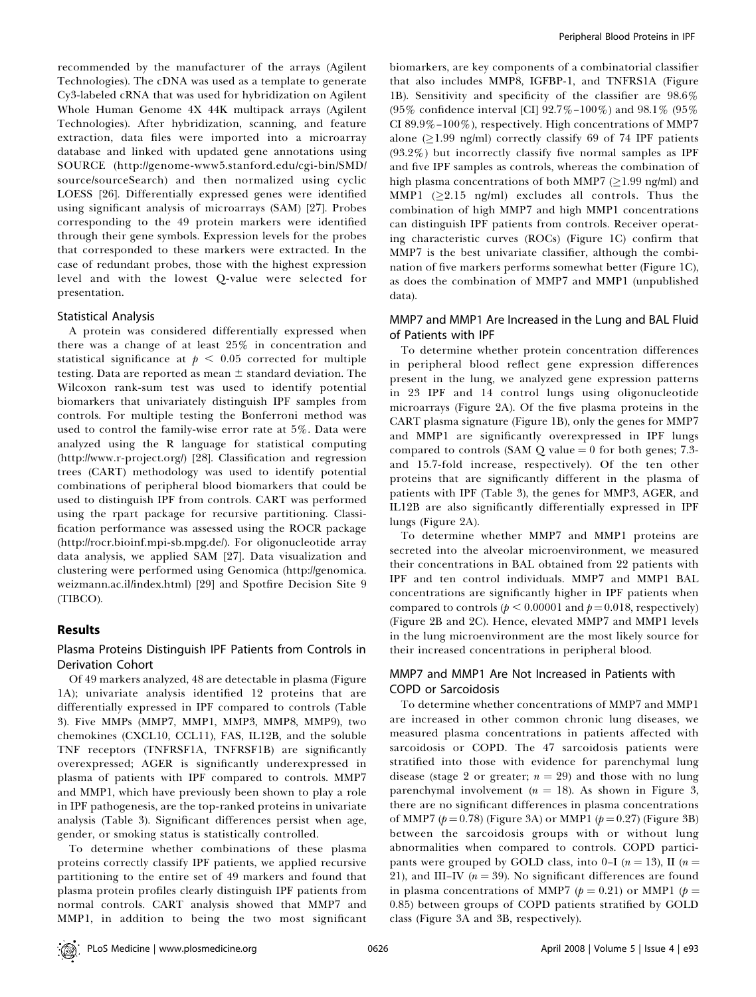recommended by the manufacturer of the arrays (Agilent Technologies). The cDNA was used as a template to generate Cy3-labeled cRNA that was used for hybridization on Agilent Whole Human Genome 4X 44K multipack arrays (Agilent Technologies). After hybridization, scanning, and feature extraction, data files were imported into a microarray database and linked with updated gene annotations using SOURCE (http://genome-www5.stanford.edu/cgi-bin/SMD/ source/sourceSearch) and then normalized using cyclic LOESS [26]. Differentially expressed genes were identified using significant analysis of microarrays (SAM) [27]. Probes corresponding to the 49 protein markers were identified through their gene symbols. Expression levels for the probes that corresponded to these markers were extracted. In the case of redundant probes, those with the highest expression level and with the lowest Q-value were selected for presentation.

#### Statistical Analysis

A protein was considered differentially expressed when there was a change of at least 25% in concentration and statistical significance at  $p < 0.05$  corrected for multiple testing. Data are reported as mean  $\pm$  standard deviation. The Wilcoxon rank-sum test was used to identify potential biomarkers that univariately distinguish IPF samples from controls. For multiple testing the Bonferroni method was used to control the family-wise error rate at 5%. Data were analyzed using the R language for statistical computing (http://www.r-project.org/) [28]. Classification and regression trees (CART) methodology was used to identify potential combinations of peripheral blood biomarkers that could be used to distinguish IPF from controls. CART was performed using the rpart package for recursive partitioning. Classification performance was assessed using the ROCR package (http://rocr.bioinf.mpi-sb.mpg.de/). For oligonucleotide array data analysis, we applied SAM [27]. Data visualization and clustering were performed using Genomica (http://genomica. weizmann.ac.il/index.html) [29] and Spotfire Decision Site 9 (TIBCO).

#### Results

# Plasma Proteins Distinguish IPF Patients from Controls in Derivation Cohort

Of 49 markers analyzed, 48 are detectable in plasma (Figure 1A); univariate analysis identified 12 proteins that are differentially expressed in IPF compared to controls (Table 3). Five MMPs (MMP7, MMP1, MMP3, MMP8, MMP9), two chemokines (CXCL10, CCL11), FAS, IL12B, and the soluble TNF receptors (TNFRSF1A, TNFRSF1B) are significantly overexpressed; AGER is significantly underexpressed in plasma of patients with IPF compared to controls. MMP7 and MMP1, which have previously been shown to play a role in IPF pathogenesis, are the top-ranked proteins in univariate analysis (Table 3). Significant differences persist when age, gender, or smoking status is statistically controlled.

To determine whether combinations of these plasma proteins correctly classify IPF patients, we applied recursive partitioning to the entire set of 49 markers and found that plasma protein profiles clearly distinguish IPF patients from normal controls. CART analysis showed that MMP7 and MMP1, in addition to being the two most significant

biomarkers, are key components of a combinatorial classifier that also includes MMP8, IGFBP-1, and TNFRS1A (Figure 1B). Sensitivity and specificity of the classifier are 98.6% (95% confidence interval [CI] 92.7%–100%) and 98.1% (95% CI 89.9%–100%), respectively. High concentrations of MMP7 alone ( $\geq$ 1.99 ng/ml) correctly classify 69 of 74 IPF patients (93.2%) but incorrectly classify five normal samples as IPF and five IPF samples as controls, whereas the combination of high plasma concentrations of both MMP7 ( $\geq$ 1.99 ng/ml) and MMP1 ( $\geq$ 2.15 ng/ml) excludes all controls. Thus the combination of high MMP7 and high MMP1 concentrations can distinguish IPF patients from controls. Receiver operating characteristic curves (ROCs) (Figure 1C) confirm that MMP7 is the best univariate classifier, although the combination of five markers performs somewhat better (Figure 1C), as does the combination of MMP7 and MMP1 (unpublished data).

# MMP7 and MMP1 Are Increased in the Lung and BAL Fluid of Patients with IPF

To determine whether protein concentration differences in peripheral blood reflect gene expression differences present in the lung, we analyzed gene expression patterns in 23 IPF and 14 control lungs using oligonucleotide microarrays (Figure 2A). Of the five plasma proteins in the CART plasma signature (Figure 1B), only the genes for MMP7 and MMP1 are significantly overexpressed in IPF lungs compared to controls (SAM  $Q$  value  $= 0$  for both genes; 7.3and 15.7-fold increase, respectively). Of the ten other proteins that are significantly different in the plasma of patients with IPF (Table 3), the genes for MMP3, AGER, and IL12B are also significantly differentially expressed in IPF lungs (Figure 2A).

To determine whether MMP7 and MMP1 proteins are secreted into the alveolar microenvironment, we measured their concentrations in BAL obtained from 22 patients with IPF and ten control individuals. MMP7 and MMP1 BAL concentrations are significantly higher in IPF patients when compared to controls ( $p < 0.00001$  and  $p = 0.018$ , respectively) (Figure 2B and 2C). Hence, elevated MMP7 and MMP1 levels in the lung microenvironment are the most likely source for their increased concentrations in peripheral blood.

# MMP7 and MMP1 Are Not Increased in Patients with COPD or Sarcoidosis

To determine whether concentrations of MMP7 and MMP1 are increased in other common chronic lung diseases, we measured plasma concentrations in patients affected with sarcoidosis or COPD. The 47 sarcoidosis patients were stratified into those with evidence for parenchymal lung disease (stage 2 or greater;  $n = 29$ ) and those with no lung parenchymal involvement ( $n = 18$ ). As shown in Figure 3, there are no significant differences in plasma concentrations of MMP7 ( $p = 0.78$ ) (Figure 3A) or MMP1 ( $p = 0.27$ ) (Figure 3B) between the sarcoidosis groups with or without lung abnormalities when compared to controls. COPD participants were grouped by GOLD class, into 0-I ( $n = 13$ ), II ( $n =$ 21), and III–IV ( $n = 39$ ). No significant differences are found in plasma concentrations of MMP7 ( $p = 0.21$ ) or MMP1 ( $p =$ 0.85) between groups of COPD patients stratified by GOLD class (Figure 3A and 3B, respectively).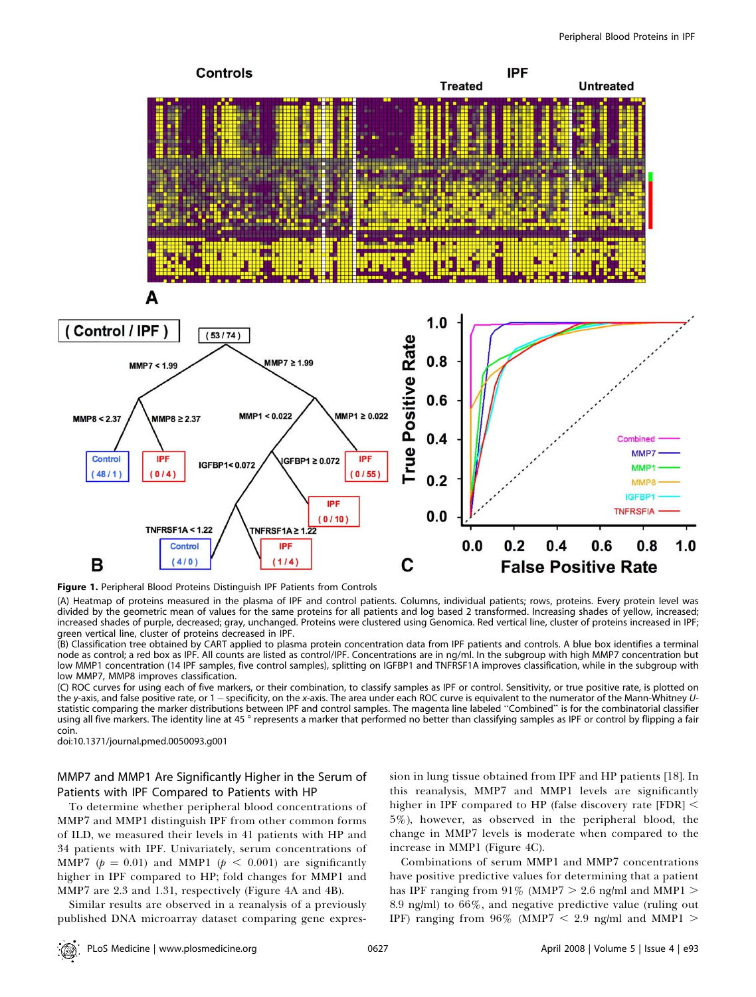

Figure 1. Peripheral Blood Proteins Distinguish IPF Patients from Controls

(A) Heatmap of proteins measured in the plasma of IPF and control patients. Columns, individual patients; rows, proteins. Every protein level was divided by the geometric mean of values for the same proteins for all patients and log based 2 transformed. Increasing shades of yellow, increased; increased shades of purple, decreased; gray, unchanged. Proteins were clustered using Genomica. Red vertical line, cluster of proteins increased in IPF; green vertical line, cluster of proteins decreased in IPF.

(B) Classification tree obtained by CART applied to plasma protein concentration data from IPF patients and controls. A blue box identifies a terminal node as control; a red box as IPF. All counts are listed as control/IPF. Concentrations are in ng/ml. In the subgroup with high MMP7 concentration but low MMP1 concentration (14 IPF samples, five control samples), splitting on IGFBP1 and TNFRSF1A improves classification, while in the subgroup with low MMP7, MMP8 improves classification.

(C) ROC curves for using each of five markers, or their combination, to classify samples as IPF or control. Sensitivity, or true positive rate, is plotted on the y-axis, and false positive rate, or 1 — specificity, on the x-axis. The area under each ROC curve is equivalent to the numerator of the Mann-Whitney Ustatistic comparing the marker distributions between IPF and control samples. The magenta line labeled ''Combined'' is for the combinatorial classifier using all five markers. The identity line at 45 ° represents a marker that performed no better than classifying samples as IPF or control by flipping a fair coin.

doi:10.1371/journal.pmed.0050093.g001

# MMP7 and MMP1 Are Significantly Higher in the Serum of Patients with IPF Compared to Patients with HP

To determine whether peripheral blood concentrations of MMP7 and MMP1 distinguish IPF from other common forms of ILD, we measured their levels in 41 patients with HP and 34 patients with IPF. Univariately, serum concentrations of MMP7 ( $p = 0.01$ ) and MMP1 ( $p < 0.001$ ) are significantly higher in IPF compared to HP; fold changes for MMP1 and MMP7 are 2.3 and 1.31, respectively (Figure 4A and 4B).

Similar results are observed in a reanalysis of a previously published DNA microarray dataset comparing gene expression in lung tissue obtained from IPF and HP patients [18]. In this reanalysis, MMP7 and MMP1 levels are significantly higher in IPF compared to HP (false discovery rate  $[FDR]$  < 5%), however, as observed in the peripheral blood, the change in MMP7 levels is moderate when compared to the increase in MMP1 (Figure 4C).

Combinations of serum MMP1 and MMP7 concentrations have positive predictive values for determining that a patient has IPF ranging from 91% (MMP7  $>$  2.6 ng/ml and MMP1  $>$ 8.9 ng/ml) to 66%, and negative predictive value (ruling out IPF) ranging from  $96\%$  (MMP7 < 2.9 ng/ml and MMP1 >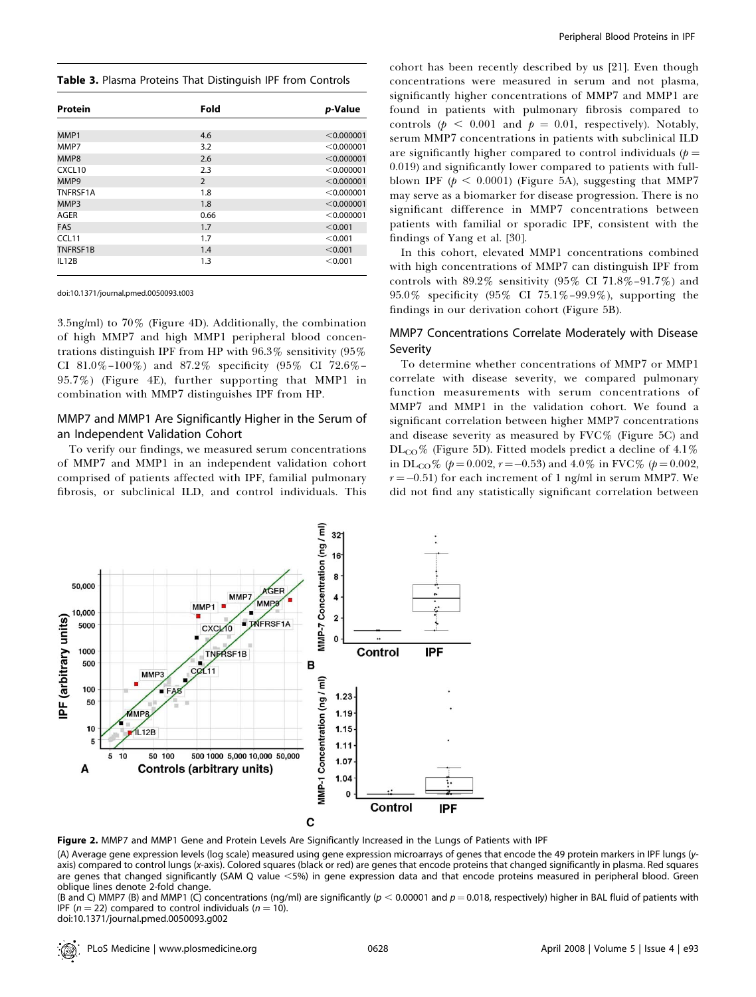#### Table 3. Plasma Proteins That Distinguish IPF from Controls

| Protein            | Fold           | p-Value    |
|--------------------|----------------|------------|
|                    |                |            |
| MMP1               | 4.6            | < 0.000001 |
| MMP7               | 3.2            | < 0.000001 |
| MMP8               | 2.6            | < 0.000001 |
| CXCL <sub>10</sub> | 2.3            | < 0.000001 |
| MMP9               | $\overline{2}$ | < 0.000001 |
| TNFRSF1A           | 1.8            | < 0.000001 |
| MMP3               | 1.8            | < 0.000001 |
| AGER               | 0.66           | < 0.000001 |
| <b>FAS</b>         | 1.7            | < 0.001    |
| CCL11              | 1.7            | < 0.001    |
| TNFRSF1B           | 1.4            | < 0.001    |
| IL12B              | 1.3            | < 0.001    |

doi:10.1371/journal.pmed.0050093.t003

3.5ng/ml) to 70% (Figure 4D). Additionally, the combination of high MMP7 and high MMP1 peripheral blood concentrations distinguish IPF from HP with 96.3% sensitivity (95% CI 81.0%–100%) and 87.2% specificity (95% CI 72.6%– 95.7%) (Figure 4E), further supporting that MMP1 in combination with MMP7 distinguishes IPF from HP.

# MMP7 and MMP1 Are Significantly Higher in the Serum of an Independent Validation Cohort

To verify our findings, we measured serum concentrations of MMP7 and MMP1 in an independent validation cohort comprised of patients affected with IPF, familial pulmonary fibrosis, or subclinical ILD, and control individuals. This

cohort has been recently described by us [21]. Even though concentrations were measured in serum and not plasma, significantly higher concentrations of MMP7 and MMP1 are found in patients with pulmonary fibrosis compared to controls ( $p < 0.001$  and  $p = 0.01$ , respectively). Notably, serum MMP7 concentrations in patients with subclinical ILD are significantly higher compared to control individuals  $(p =$ 0.019) and significantly lower compared to patients with fullblown IPF ( $p < 0.0001$ ) (Figure 5A), suggesting that MMP7 may serve as a biomarker for disease progression. There is no significant difference in MMP7 concentrations between patients with familial or sporadic IPF, consistent with the findings of Yang et al. [30].

In this cohort, elevated MMP1 concentrations combined with high concentrations of MMP7 can distinguish IPF from controls with  $89.2\%$  sensitivity (95% CI  $71.8\%$ -91.7%) and 95.0% specificity (95% CI 75.1%–99.9%), supporting the findings in our derivation cohort (Figure 5B).

# MMP7 Concentrations Correlate Moderately with Disease Severity

To determine whether concentrations of MMP7 or MMP1 correlate with disease severity, we compared pulmonary function measurements with serum concentrations of MMP7 and MMP1 in the validation cohort. We found a significant correlation between higher MMP7 concentrations and disease severity as measured by FVC% (Figure 5C) and  $DL_{CO}\%$  (Figure 5D). Fitted models predict a decline of 4.1% in DL<sub>CO</sub>% ( $p = 0.002$ ,  $r = -0.53$ ) and  $4.0\%$  in FVC% ( $p = 0.002$ ,  $r$  = –0.51) for each increment of 1 ng/ml in serum MMP7. We did not find any statistically significant correlation between



Figure 2. MMP7 and MMP1 Gene and Protein Levels Are Significantly Increased in the Lungs of Patients with IPF

(A) Average gene expression levels (log scale) measured using gene expression microarrays of genes that encode the 49 protein markers in IPF lungs (yaxis) compared to control lungs (x-axis). Colored squares (black or red) are genes that encode proteins that changed significantly in plasma. Red squares are genes that changed significantly (SAM Q value <5%) in gene expression data and that encode proteins measured in peripheral blood. Green oblique lines denote 2-fold change.

(B and C) MMP7 (B) and MMP1 (C) concentrations (ng/ml) are significantly ( $p < 0.00001$  and  $p = 0.018$ , respectively) higher in BAL fluid of patients with IPF ( $n = 22$ ) compared to control individuals ( $n = 10$ ). doi:10.1371/journal.pmed.0050093.g002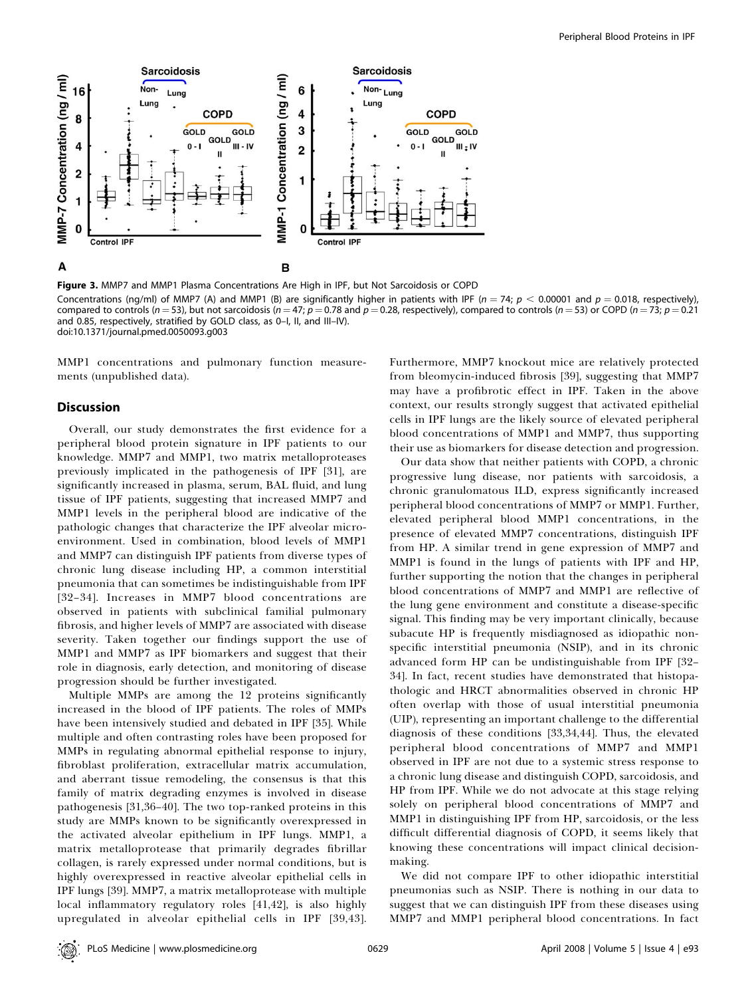

Figure 3. MMP7 and MMP1 Plasma Concentrations Are High in IPF, but Not Sarcoidosis or COPD Concentrations (ng/ml) of MMP7 (A) and MMP1 (B) are significantly higher in patients with IPF ( $n = 74$ ;  $p < 0.00001$  and  $p = 0.018$ , respectively), compared to controls (n = 53), but not sarcoidosis (n = 47; p = 0.78 and p = 0.28, respectively), compared to controls (n = 53) or COPD (n = 73; p = 0.21 and 0.85, respectively, stratified by GOLD class, as 0–I, II, and III–IV). doi:10.1371/journal.pmed.0050093.g003

MMP1 concentrations and pulmonary function measurements (unpublished data).

# **Discussion**

Overall, our study demonstrates the first evidence for a peripheral blood protein signature in IPF patients to our knowledge. MMP7 and MMP1, two matrix metalloproteases previously implicated in the pathogenesis of IPF [31], are significantly increased in plasma, serum, BAL fluid, and lung tissue of IPF patients, suggesting that increased MMP7 and MMP1 levels in the peripheral blood are indicative of the pathologic changes that characterize the IPF alveolar microenvironment. Used in combination, blood levels of MMP1 and MMP7 can distinguish IPF patients from diverse types of chronic lung disease including HP, a common interstitial pneumonia that can sometimes be indistinguishable from IPF [32–34]. Increases in MMP7 blood concentrations are observed in patients with subclinical familial pulmonary fibrosis, and higher levels of MMP7 are associated with disease severity. Taken together our findings support the use of MMP1 and MMP7 as IPF biomarkers and suggest that their role in diagnosis, early detection, and monitoring of disease progression should be further investigated.

Multiple MMPs are among the 12 proteins significantly increased in the blood of IPF patients. The roles of MMPs have been intensively studied and debated in IPF [35]. While multiple and often contrasting roles have been proposed for MMPs in regulating abnormal epithelial response to injury, fibroblast proliferation, extracellular matrix accumulation, and aberrant tissue remodeling, the consensus is that this family of matrix degrading enzymes is involved in disease pathogenesis [31,36–40]. The two top-ranked proteins in this study are MMPs known to be significantly overexpressed in the activated alveolar epithelium in IPF lungs. MMP1, a matrix metalloprotease that primarily degrades fibrillar collagen, is rarely expressed under normal conditions, but is highly overexpressed in reactive alveolar epithelial cells in IPF lungs [39]. MMP7, a matrix metalloprotease with multiple local inflammatory regulatory roles [41,42], is also highly upregulated in alveolar epithelial cells in IPF [39,43].

Furthermore, MMP7 knockout mice are relatively protected from bleomycin-induced fibrosis [39], suggesting that MMP7 may have a profibrotic effect in IPF. Taken in the above context, our results strongly suggest that activated epithelial cells in IPF lungs are the likely source of elevated peripheral blood concentrations of MMP1 and MMP7, thus supporting their use as biomarkers for disease detection and progression.

Our data show that neither patients with COPD, a chronic progressive lung disease, nor patients with sarcoidosis, a chronic granulomatous ILD, express significantly increased peripheral blood concentrations of MMP7 or MMP1. Further, elevated peripheral blood MMP1 concentrations, in the presence of elevated MMP7 concentrations, distinguish IPF from HP. A similar trend in gene expression of MMP7 and MMP1 is found in the lungs of patients with IPF and HP, further supporting the notion that the changes in peripheral blood concentrations of MMP7 and MMP1 are reflective of the lung gene environment and constitute a disease-specific signal. This finding may be very important clinically, because subacute HP is frequently misdiagnosed as idiopathic nonspecific interstitial pneumonia (NSIP), and in its chronic advanced form HP can be undistinguishable from IPF [32– 34]. In fact, recent studies have demonstrated that histopathologic and HRCT abnormalities observed in chronic HP often overlap with those of usual interstitial pneumonia (UIP), representing an important challenge to the differential diagnosis of these conditions [33,34,44]. Thus, the elevated peripheral blood concentrations of MMP7 and MMP1 observed in IPF are not due to a systemic stress response to a chronic lung disease and distinguish COPD, sarcoidosis, and HP from IPF. While we do not advocate at this stage relying solely on peripheral blood concentrations of MMP7 and MMP1 in distinguishing IPF from HP, sarcoidosis, or the less difficult differential diagnosis of COPD, it seems likely that knowing these concentrations will impact clinical decisionmaking.

We did not compare IPF to other idiopathic interstitial pneumonias such as NSIP. There is nothing in our data to suggest that we can distinguish IPF from these diseases using MMP7 and MMP1 peripheral blood concentrations. In fact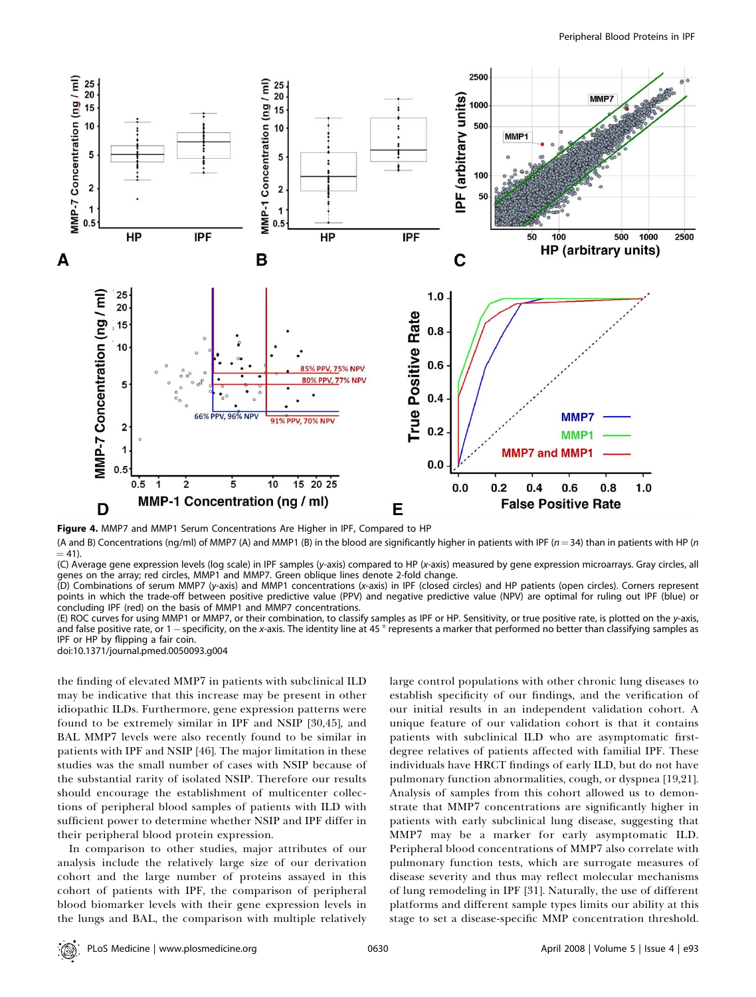



(A and B) Concentrations (ng/ml) of MMP7 (A) and MMP1 (B) in the blood are significantly higher in patients with IPF ( $n=34$ ) than in patients with HP (n  $= 41.$ 

(C) Average gene expression levels (log scale) in IPF samples (y-axis) compared to HP (x-axis) measured by gene expression microarrays. Gray circles, all genes on the array; red circles, MMP1 and MMP7. Green oblique lines denote 2-fold change.

(D) Combinations of serum MMP7 (y-axis) and MMP1 concentrations (x-axis) in IPF (closed circles) and HP patients (open circles). Corners represent points in which the trade-off between positive predictive value (PPV) and negative predictive value (NPV) are optimal for ruling out IPF (blue) or concluding IPF (red) on the basis of MMP1 and MMP7 concentrations.

(E) ROC curves for using MMP1 or MMP7, or their combination, to classify samples as IPF or HP. Sensitivity, or true positive rate, is plotted on the y-axis, and false positive rate, or 1 – specificity, on the x-axis. The identity line at 45 ° represents a marker that performed no better than classifying samples as IPF or HP by flipping a fair coin.

doi:10.1371/journal.pmed.0050093.g004

the finding of elevated MMP7 in patients with subclinical ILD may be indicative that this increase may be present in other idiopathic ILDs. Furthermore, gene expression patterns were found to be extremely similar in IPF and NSIP [30,45], and BAL MMP7 levels were also recently found to be similar in patients with IPF and NSIP [46]. The major limitation in these studies was the small number of cases with NSIP because of the substantial rarity of isolated NSIP. Therefore our results should encourage the establishment of multicenter collections of peripheral blood samples of patients with ILD with sufficient power to determine whether NSIP and IPF differ in their peripheral blood protein expression.

In comparison to other studies, major attributes of our analysis include the relatively large size of our derivation cohort and the large number of proteins assayed in this cohort of patients with IPF, the comparison of peripheral blood biomarker levels with their gene expression levels in the lungs and BAL, the comparison with multiple relatively large control populations with other chronic lung diseases to establish specificity of our findings, and the verification of our initial results in an independent validation cohort. A unique feature of our validation cohort is that it contains patients with subclinical ILD who are asymptomatic firstdegree relatives of patients affected with familial IPF. These individuals have HRCT findings of early ILD, but do not have pulmonary function abnormalities, cough, or dyspnea [19,21]. Analysis of samples from this cohort allowed us to demonstrate that MMP7 concentrations are significantly higher in patients with early subclinical lung disease, suggesting that MMP7 may be a marker for early asymptomatic ILD. Peripheral blood concentrations of MMP7 also correlate with pulmonary function tests, which are surrogate measures of disease severity and thus may reflect molecular mechanisms of lung remodeling in IPF [31]. Naturally, the use of different platforms and different sample types limits our ability at this stage to set a disease-specific MMP concentration threshold.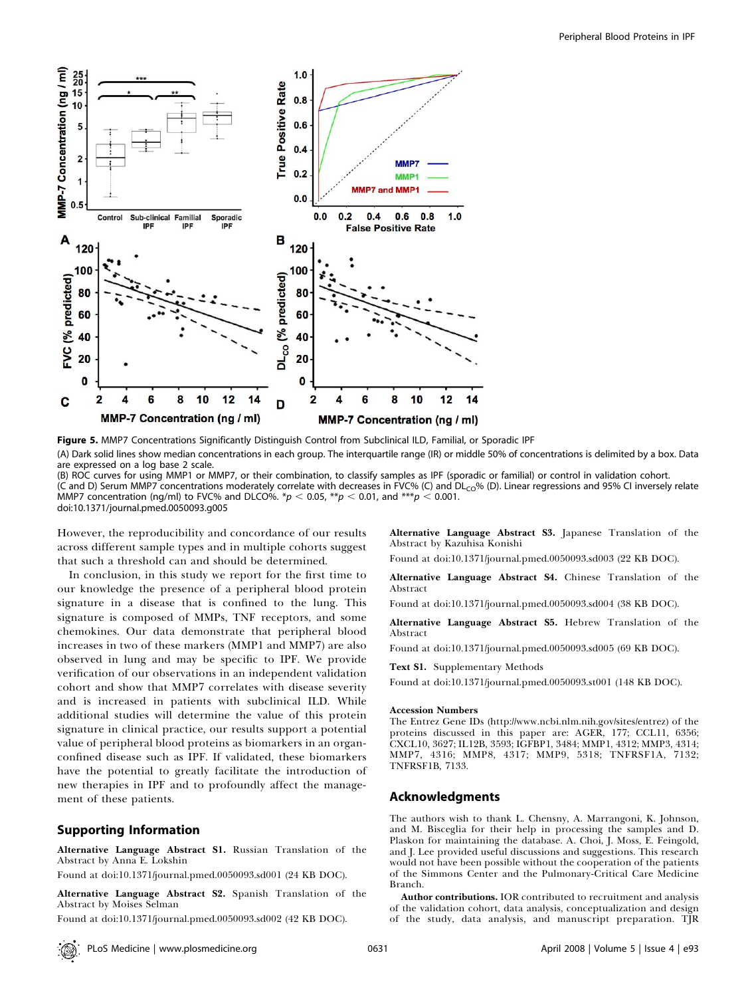

Figure 5. MMP7 Concentrations Significantly Distinguish Control from Subclinical ILD, Familial, or Sporadic IPF (A) Dark solid lines show median concentrations in each group. The interquartile range (IR) or middle 50% of concentrations is delimited by a box. Data are expressed on a log base 2 scale.

(B) ROC curves for using MMP1 or MMP7, or their combination, to classify samples as IPF (sporadic or familial) or control in validation cohort. (C and D) Serum MMP7 concentrations moderately correlate with decreases in FVC% (C) and DL<sub>CO</sub>% (D). Linear regressions and 95% CI inversely relate MMP7 concentration (ng/ml) to FVC% and DLCO%. \*p < 0.05, \*\*p < 0.01, and \*\*\*p < 0.001. doi:10.1371/journal.pmed.0050093.g005

However, the reproducibility and concordance of our results across different sample types and in multiple cohorts suggest that such a threshold can and should be determined.

In conclusion, in this study we report for the first time to our knowledge the presence of a peripheral blood protein signature in a disease that is confined to the lung. This signature is composed of MMPs, TNF receptors, and some chemokines. Our data demonstrate that peripheral blood increases in two of these markers (MMP1 and MMP7) are also observed in lung and may be specific to IPF. We provide verification of our observations in an independent validation cohort and show that MMP7 correlates with disease severity and is increased in patients with subclinical ILD. While additional studies will determine the value of this protein signature in clinical practice, our results support a potential value of peripheral blood proteins as biomarkers in an organconfined disease such as IPF. If validated, these biomarkers have the potential to greatly facilitate the introduction of new therapies in IPF and to profoundly affect the management of these patients.

# Supporting Information

Alternative Language Abstract S1. Russian Translation of the Abstract by Anna E. Lokshin

Found at doi:10.1371/journal.pmed.0050093.sd001 (24 KB DOC).

Alternative Language Abstract S2. Spanish Translation of the Abstract by Moises Selman

Found at doi:10.1371/journal.pmed.0050093.sd002 (42 KB DOC).

Alternative Language Abstract S3. Japanese Translation of the Abstract by Kazuhisa Konishi

Found at doi:10.1371/journal.pmed.0050093.sd003 (22 KB DOC).

Alternative Language Abstract S4. Chinese Translation of the Abstract

Found at doi:10.1371/journal.pmed.0050093.sd004 (38 KB DOC).

Alternative Language Abstract S5. Hebrew Translation of the Abstract

Found at doi:10.1371/journal.pmed.0050093.sd005 (69 KB DOC).

Text S1. Supplementary Methods

Found at doi:10.1371/journal.pmed.0050093.st001 (148 KB DOC).

#### Accession Numbers

The Entrez Gene IDs (http://www.ncbi.nlm.nih.gov/sites/entrez) of the proteins discussed in this paper are: AGER, 177; CCL11, 6356; CXCL10, 3627; IL12B, 3593; IGFBP1, 3484; MMP1, 4312; MMP3, 4314; MMP7, 4316; MMP8, 4317; MMP9, 5318; TNFRSF1A, 7132; TNFRSF1B, 7133.

## Acknowledgments

The authors wish to thank L. Chensny, A. Marrangoni, K. Johnson, and M. Bisceglia for their help in processing the samples and D. Plaskon for maintaining the database. A. Choi, J. Moss, E. Feingold, and J. Lee provided useful discussions and suggestions. This research would not have been possible without the cooperation of the patients of the Simmons Center and the Pulmonary-Critical Care Medicine Branch.

Author contributions. IOR contributed to recruitment and analysis of the validation cohort, data analysis, conceptualization and design of the study, data analysis, and manuscript preparation. TJR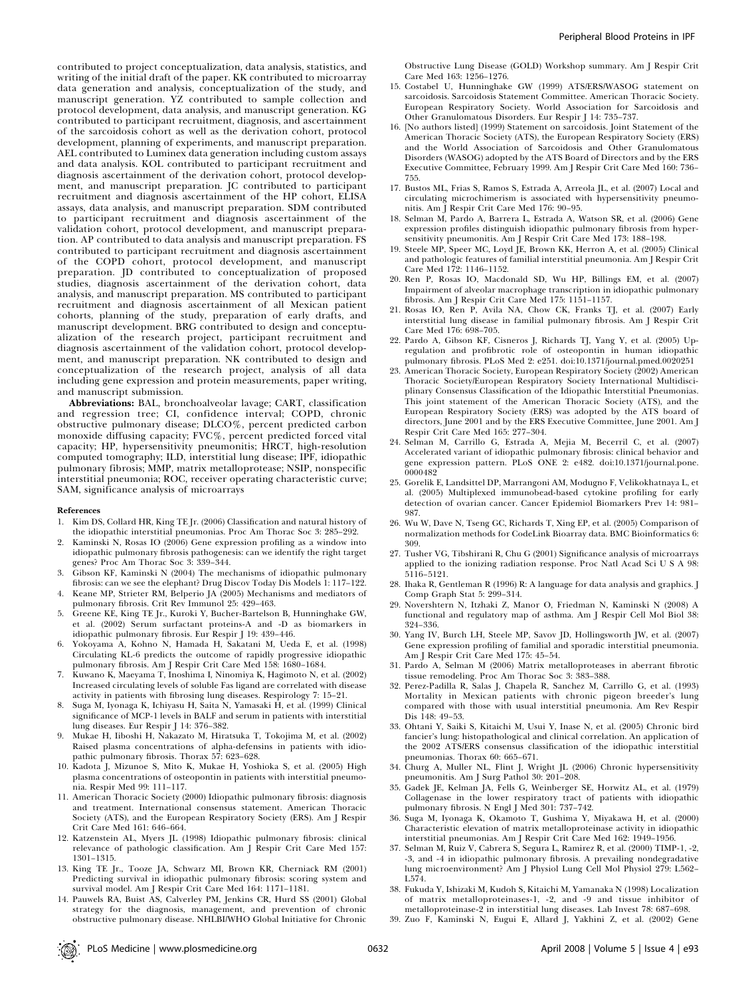contributed to project conceptualization, data analysis, statistics, and writing of the initial draft of the paper. KK contributed to microarray data generation and analysis, conceptualization of the study, and manuscript generation. YZ contributed to sample collection and protocol development, data analysis, and manuscript generation. KG contributed to participant recruitment, diagnosis, and ascertainment of the sarcoidosis cohort as well as the derivation cohort, protocol development, planning of experiments, and manuscript preparation. AEL contributed to Luminex data generation including custom assays and data analysis. KOL contributed to participant recruitment and diagnosis ascertainment of the derivation cohort, protocol development, and manuscript preparation. JC contributed to participant recruitment and diagnosis ascertainment of the HP cohort, ELISA assays, data analysis, and manuscript preparation. SDM contributed to participant recruitment and diagnosis ascertainment of the validation cohort, protocol development, and manuscript preparation. AP contributed to data analysis and manuscript preparation. FS contributed to participant recruitment and diagnosis ascertainment of the COPD cohort, protocol development, and manuscript preparation. JD contributed to conceptualization of proposed studies, diagnosis ascertainment of the derivation cohort, data analysis, and manuscript preparation. MS contributed to participant recruitment and diagnosis ascertainment of all Mexican patient cohorts, planning of the study, preparation of early drafts, and manuscript development. BRG contributed to design and conceptualization of the research project, participant recruitment and diagnosis ascertainment of the validation cohort, protocol development, and manuscript preparation. NK contributed to design and conceptualization of the research project, analysis of all data including gene expression and protein measurements, paper writing, and manuscript submission.

Abbreviations: BAL, bronchoalveolar lavage; CART, classification and regression tree; CI, confidence interval; COPD, chronic obstructive pulmonary disease; DLCO%, percent predicted carbon monoxide diffusing capacity; FVC%, percent predicted forced vital capacity; HP, hypersensitivity pneumonitis; HRCT, high-resolution computed tomography; ILD, interstitial lung disease; IPF, idiopathic pulmonary fibrosis; MMP, matrix metalloprotease; NSIP, nonspecific interstitial pneumonia; ROC, receiver operating characteristic curve; SAM, significance analysis of microarrays

#### References

- 1. Kim DS, Collard HR, King TE Jr. (2006) Classification and natural history of the idiopathic interstitial pneumonias. Proc Am Thorac Soc 3: 285–292.
- 2. Kaminski N, Rosas IO (2006) Gene expression profiling as a window into idiopathic pulmonary fibrosis pathogenesis: can we identify the right target genes? Proc Am Thorac Soc 3: 339–344.
- 3. Gibson KF, Kaminski N (2004) The mechanisms of idiopathic pulmonary fibrosis: can we see the elephant? Drug Discov Today Dis Models 1: 117–122.
- 4. Keane MP, Strieter RM, Belperio JA (2005) Mechanisms and mediators of pulmonary fibrosis. Crit Rev Immunol 25: 429–463.
- 5. Greene KE, King TE Jr., Kuroki Y, Bucher-Bartelson B, Hunninghake GW, et al. (2002) Serum surfactant proteins-A and -D as biomarkers in idiopathic pulmonary fibrosis. Eur Respir J 19: 439–446.
- 6. Yokoyama A, Kohno N, Hamada H, Sakatani M, Ueda E, et al. (1998) Circulating KL-6 predicts the outcome of rapidly progressive idiopathic pulmonary fibrosis. Am J Respir Crit Care Med 158: 1680–1684.
- 7. Kuwano K, Maeyama T, Inoshima I, Ninomiya K, Hagimoto N, et al. (2002) Increased circulating levels of soluble Fas ligand are correlated with disease activity in patients with fibrosing lung diseases. Respirology 7: 15–21.
- 8. Suga M, Iyonaga K, Ichiyasu H, Saita N, Yamasaki H, et al. (1999) Clinical significance of MCP-1 levels in BALF and serum in patients with interstitial lung diseases. Eur Respir J 14: 376–382.
- 9. Mukae H, Iiboshi H, Nakazato M, Hiratsuka T, Tokojima M, et al. (2002) Raised plasma concentrations of alpha-defensins in patients with idiopathic pulmonary fibrosis. Thorax 57: 623–628.
- 10. Kadota J, Mizunoe S, Mito K, Mukae H, Yoshioka S, et al. (2005) High plasma concentrations of osteopontin in patients with interstitial pneumonia. Respir Med 99: 111–117.
- 11. American Thoracic Society (2000) Idiopathic pulmonary fibrosis: diagnosis and treatment. International consensus statement. American Thoracic Society (ATS), and the European Respiratory Society (ERS). Am J Respir Crit Care Med 161: 646–664.
- 12. Katzenstein AL, Myers JL (1998) Idiopathic pulmonary fibrosis: clinical relevance of pathologic classification. Am J Respir Crit Care Med 157: 1301–1315.
- 13. King TE Jr., Tooze JA, Schwarz MI, Brown KR, Cherniack RM (2001) Predicting survival in idiopathic pulmonary fibrosis: scoring system and survival model. Am J Respir Crit Care Med 164: 1171–1181.
- 14. Pauwels RA, Buist AS, Calverley PM, Jenkins CR, Hurd SS (2001) Global strategy for the diagnosis, management, and prevention of chronic obstructive pulmonary disease. NHLBI/WHO Global Initiative for Chronic

Obstructive Lung Disease (GOLD) Workshop summary. Am J Respir Crit Care Med 163: 1256–1276.

- 15. Costabel U, Hunninghake GW (1999) ATS/ERS/WASOG statement on sarcoidosis. Sarcoidosis Statement Committee. American Thoracic Society. European Respiratory Society. World Association for Sarcoidosis and Other Granulomatous Disorders. Eur Respir J 14: 735–737.
- 16. [No authors listed] (1999) Statement on sarcoidosis. Joint Statement of the American Thoracic Society (ATS), the European Respiratory Society (ERS) and the World Association of Sarcoidosis and Other Granulomatous Disorders (WASOG) adopted by the ATS Board of Directors and by the ERS Executive Committee, February 1999. Am J Respir Crit Care Med 160: 736– 755.
- 17. Bustos ML, Frias S, Ramos S, Estrada A, Arreola JL, et al. (2007) Local and circulating microchimerism is associated with hypersensitivity pneumonitis. Am J Respir Crit Care Med 176: 90–95.
- 18. Selman M, Pardo A, Barrera L, Estrada A, Watson SR, et al. (2006) Gene expression profiles distinguish idiopathic pulmonary fibrosis from hypersensitivity pneumonitis. Am J Respir Crit Care Med 173: 188–198.
- 19. Steele MP, Speer MC, Loyd JE, Brown KK, Herron A, et al. (2005) Clinical and pathologic features of familial interstitial pneumonia. Am J Respir Crit Care Med 172: 1146–1152.
- 20. Ren P, Rosas IO, Macdonald SD, Wu HP, Billings EM, et al. (2007) Impairment of alveolar macrophage transcription in idiopathic pulmonary fibrosis. Am J Respir Crit Care Med 175: 1151–1157.
- 21. Rosas IO, Ren P, Avila NA, Chow CK, Franks TJ, et al. (2007) Early interstitial lung disease in familial pulmonary fibrosis. Am J Respir Crit Care Med 176: 698–705.
- 22. Pardo A, Gibson KF, Cisneros J, Richards TJ, Yang Y, et al. (2005) Upregulation and profibrotic role of osteopontin in human idiopathic pulmonary fibrosis. PLoS Med 2: e251. doi:10.1371/journal.pmed.0020251
- 23. American Thoracic Society, European Respiratory Society (2002) American Thoracic Society/European Respiratory Society International Multidisciplinary Consensus Classification of the Idiopathic Interstitial Pneumonias. This joint statement of the American Thoracic Society (ATS), and the European Respiratory Society (ERS) was adopted by the ATS board of directors, June 2001 and by the ERS Executive Committee, June 2001. Am J Respir Crit Care Med 165: 277–304.
- 24. Selman M, Carrillo G, Estrada A, Mejia M, Becerril C, et al. (2007) Accelerated variant of idiopathic pulmonary fibrosis: clinical behavior and gene expression pattern. PLoS ONE 2: e482. doi:10.1371/journal.pone. 0000482
- 25. Gorelik E, Landsittel DP, Marrangoni AM, Modugno F, Velikokhatnaya L, et al. (2005) Multiplexed immunobead-based cytokine profiling for early detection of ovarian cancer. Cancer Epidemiol Biomarkers Prev 14: 981– 987.
- 26. Wu W, Dave N, Tseng GC, Richards T, Xing EP, et al. (2005) Comparison of normalization methods for CodeLink Bioarray data. BMC Bioinformatics 6: 309.
- 27. Tusher VG, Tibshirani R, Chu G (2001) Significance analysis of microarrays applied to the ionizing radiation response. Proc Natl Acad Sci U S A 98: 5116–5121.
- 28. Ihaka R, Gentleman R (1996) R: A language for data analysis and graphics. J Comp Graph Stat 5: 299–314.
- 29. Novershtern N, Itzhaki Z, Manor O, Friedman N, Kaminski N (2008) A functional and regulatory map of asthma. Am J Respir Cell Mol Biol 38: 324–336.
- 30. Yang IV, Burch LH, Steele MP, Savov JD, Hollingsworth JW, et al. (2007) Gene expression profiling of familial and sporadic interstitial pneumonia. Am J Respir Crit Care Med 175: 45–54.
- 31. Pardo A, Selman M (2006) Matrix metalloproteases in aberrant fibrotic tissue remodeling. Proc Am Thorac Soc 3: 383–388.
- 32. Perez-Padilla R, Salas J, Chapela R, Sanchez M, Carrillo G, et al. (1993) Mortality in Mexican patients with chronic pigeon breeder's lung compared with those with usual interstitial pneumonia. Am Rev Respir Dis 148: 49–53.
- 33. Ohtani Y, Saiki S, Kitaichi M, Usui Y, Inase N, et al. (2005) Chronic bird fancier's lung: histopathological and clinical correlation. An application of the 2002 ATS/ERS consensus classification of the idiopathic interstitial pneumonias. Thorax 60: 665–671.
- 34. Churg A, Muller NL, Flint J, Wright JL (2006) Chronic hypersensitivity pneumonitis. Am J Surg Pathol 30: 201–208.
- 35. Gadek JE, Kelman JA, Fells G, Weinberger SE, Horwitz AL, et al. (1979) Collagenase in the lower respiratory tract of patients with idiopathic pulmonary fibrosis. N Engl J Med 301: 737–742.
- 36. Suga M, Iyonaga K, Okamoto T, Gushima Y, Miyakawa H, et al. (2000) Characteristic elevation of matrix metalloproteinase activity in idiopathic interstitial pneumonias. Am J Respir Crit Care Med 162: 1949–1956.
- 37. Selman M, Ruiz V, Cabrera S, Segura L, Ramirez R, et al. (2000) TIMP-1, -2, -3, and -4 in idiopathic pulmonary fibrosis. A prevailing nondegradative lung microenvironment? Am J Physiol Lung Cell Mol Physiol 279: L562– L574.
- 38. Fukuda Y, Ishizaki M, Kudoh S, Kitaichi M, Yamanaka N (1998) Localization of matrix metalloproteinases-1, -2, and -9 and tissue inhibitor of metalloproteinase-2 in interstitial lung diseases. Lab Invest 78: 687–698.
- 39. Zuo F, Kaminski N, Eugui E, Allard J, Yakhini Z, et al. (2002) Gene